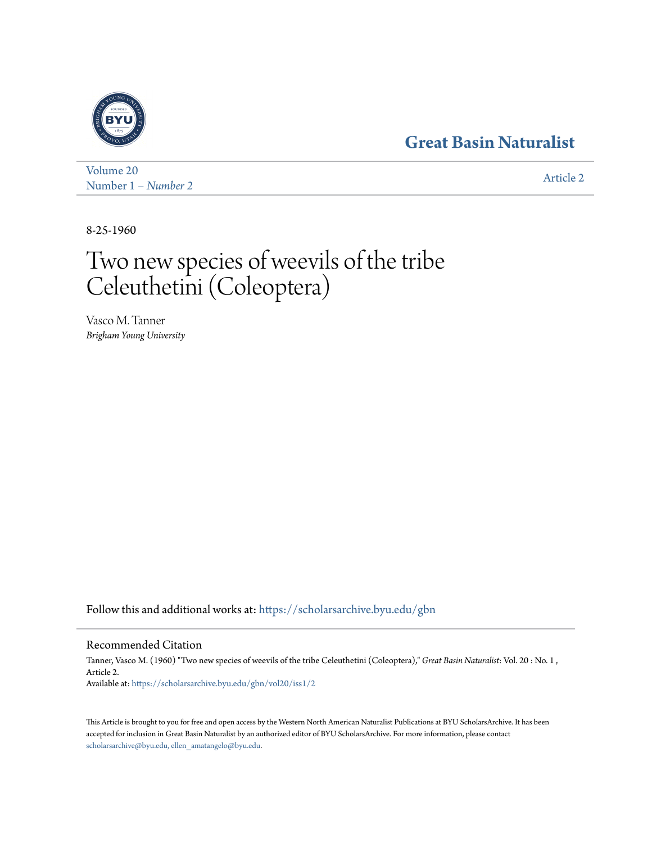## **[Great Basin Naturalist](https://scholarsarchive.byu.edu/gbn?utm_source=scholarsarchive.byu.edu%2Fgbn%2Fvol20%2Fiss1%2F2&utm_medium=PDF&utm_campaign=PDFCoverPages)**



[Volume 20](https://scholarsarchive.byu.edu/gbn/vol20?utm_source=scholarsarchive.byu.edu%2Fgbn%2Fvol20%2Fiss1%2F2&utm_medium=PDF&utm_campaign=PDFCoverPages) Number 1 *[– Number 2](https://scholarsarchive.byu.edu/gbn/vol20/iss1?utm_source=scholarsarchive.byu.edu%2Fgbn%2Fvol20%2Fiss1%2F2&utm_medium=PDF&utm_campaign=PDFCoverPages)* [Article 2](https://scholarsarchive.byu.edu/gbn/vol20/iss1/2?utm_source=scholarsarchive.byu.edu%2Fgbn%2Fvol20%2Fiss1%2F2&utm_medium=PDF&utm_campaign=PDFCoverPages)

8-25-1960

# Two new species of weevils of the tribe Celeuthetini (Coleoptera)

Vasco M. Tanner *Brigham Young University*

Follow this and additional works at: [https://scholarsarchive.byu.edu/gbn](https://scholarsarchive.byu.edu/gbn?utm_source=scholarsarchive.byu.edu%2Fgbn%2Fvol20%2Fiss1%2F2&utm_medium=PDF&utm_campaign=PDFCoverPages)

### Recommended Citation

Tanner, Vasco M. (1960) "Two new species of weevils of the tribe Celeuthetini (Coleoptera)," *Great Basin Naturalist*: Vol. 20 : No. 1 , Article 2. Available at: [https://scholarsarchive.byu.edu/gbn/vol20/iss1/2](https://scholarsarchive.byu.edu/gbn/vol20/iss1/2?utm_source=scholarsarchive.byu.edu%2Fgbn%2Fvol20%2Fiss1%2F2&utm_medium=PDF&utm_campaign=PDFCoverPages)

This Article is brought to you for free and open access by the Western North American Naturalist Publications at BYU ScholarsArchive. It has been accepted for inclusion in Great Basin Naturalist by an authorized editor of BYU ScholarsArchive. For more information, please contact [scholarsarchive@byu.edu, ellen\\_amatangelo@byu.edu.](mailto:scholarsarchive@byu.edu,%20ellen_amatangelo@byu.edu)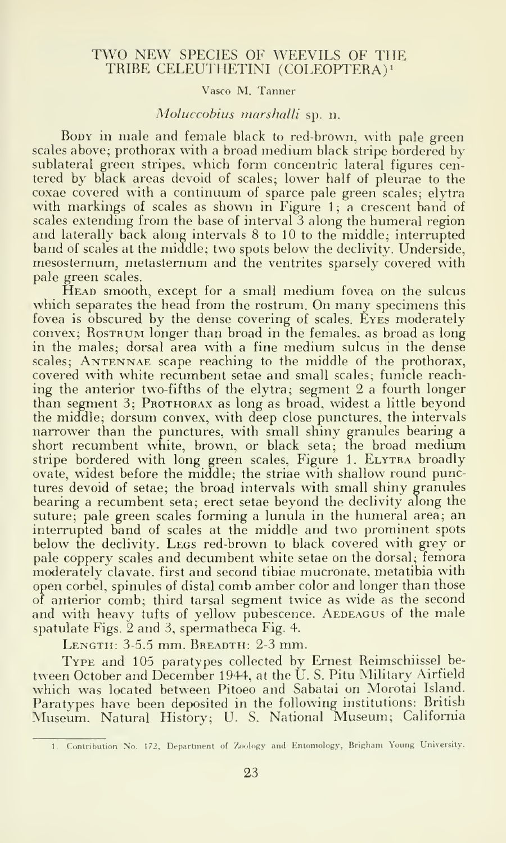#### TWO NEW SPECIES OF WEEVILS OF THE TRIBE CELEUTHETINI (COLEOFIERA)'

#### Vasco M. Tanner

#### Moluccobius marshalli sp. n.

Boby in male and female black to red-brown, with pale green scales above; prothorax with <sup>a</sup> broad medium black stripe bordered by sublateral green stripes, which form concentric lateral figures centered by black areas devoid of scales; lower half of pleurae to the coxae covered with a continuum of sparce pale green scales; elytra with markings of scales as shown in Figure 1; a crescent band of scales extending from the base of interval 3 along the humeral region and laterally back along intervals 8 to 10 to the middle; interrupted band of scales at the middle; two spots below the declivity. Underside, mesosternum, metasternum and the ventrites sparsely covered with pale green scales.

Head smooth, except for <sup>a</sup> small medium fovea on the sulcus which separates the head from the rostrum. On many specimens this fovea is obscured by the dense covering of scales. Eyes moderately convex; Rostrum longer than broad in the females, as broad as long in the males; dorsal area with a fine medium sulcus in the dense scales; ANTENNAE scape reaching to the middle of the prothorax, covered with white recumbent setae and small scales; funicle reaching the anterior two-fifths of the elytra; segment 2 a fourth longer than segment 3; Prothorax as long as broad, widest a little beyond the middle; dorsum convex, with deep close punctures, the intervals narrower than the punctures, with small shiny granules bearing a  $short$   $recumbent$  white, brown, or black seta; the broad medium  $\qquad$ stripe bordered with long green scales, Figure 1. ELYTRA broadly ovate, widest before the middle; the striae with shallow round punctures devoid of setae; the broad intervals with small shiny granules bearing a recumbent seta; erect setae beyond the declivity along the suture; pale green scales forming a lunula in the humeral area; an interrupted band of scales at the middle and two prominent spots below the declivity. Legs red-brown to black covered with grey or pale coppery scales and decumbent white setae on the dorsal; femora moderately clavate. first and second tibiae mucronate, metatibia with open corbel, spinules of distal comb amber color and longer than those of anterior comb; third tarsal segment twice as wide as the second and with heavy tufts of yellow pubescence. AEDEAGUS of the male spatulate Figs. 2 and 3, spermatheca Fig. 4.

Length: 3-5.5 mm. Breadth: 2-3 mm.

Type and 105 paratypes collected by Ernest Reimschiissel be tween October and December 1944, at the U. S. Pitu Military Airfield which was located between Pitoeo and Sabatai on Morotai Island. Paratypes have been deposited in the following institutions: British Museum. Natural History; U. S. National Museum; California

<sup>1.</sup> Contribution No. 172, Department of Zoology and Entomology, Brighani Young University.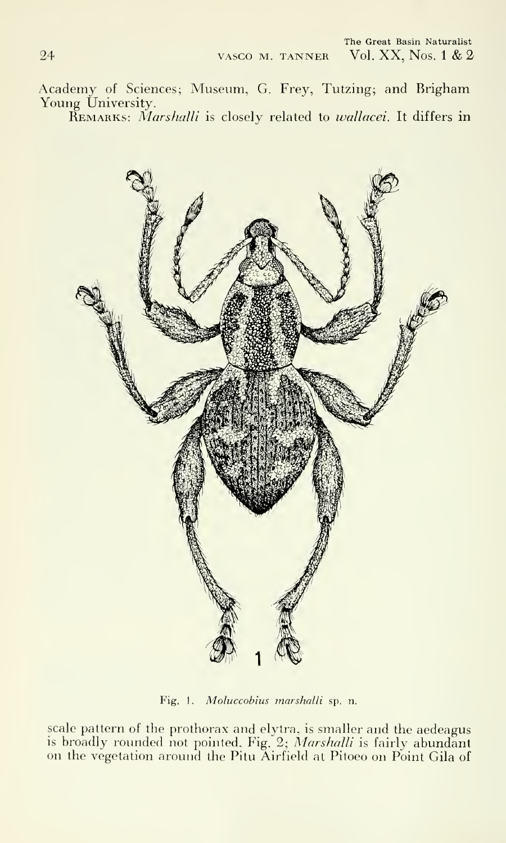Academy of Sciences; Museum, G. Frey, Tutzing; and Brigham Young University. REMARKS: Marshalli is closely related to wallacei. It differs in



Fig. 1. Moluccobius marshalli sp. n.

scale pattern of the prothorax and elytra, is smaller and the aedeagus is broadly rounded not pointed. Fig. 2; Marshalli is fairly abundant on the vegetation around the Pitu Airfield at Pitoeo on Point Gila of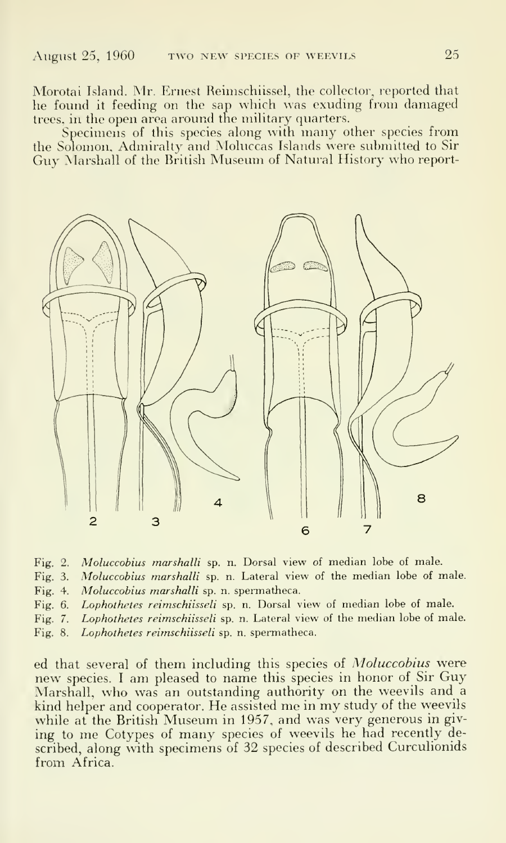Morotai Island. Mr. Ernest Reimschiissel, the collector, reported that he found it feeding on the sap which was exuding from damaged trees, in the open area around the military quarters.

Specimens of this species along with many other species from the Solomon, Admiralty and Moluccas Islands were submitted to Sir Guy Marshall of the British Museum of Natural History who report-



Fig. 2. Moluccobius marshalli sp. n. Dorsal view of median lobe of male.

- Fig. 3. Moluccobius marshalli sp. n. Lateral view of the median lobe of male.
- Fig. 4. Moluccobius marshalli sp. n. spermatheca.
- Fig. 6. Lophothetes reimschiisseli sp. n. Dorsal view of median lobe of male.
- Fig. 7. Lophothetes reimschiisseli sp. n. Lateral view of the median lobe of male.
- Fig. 8. Lophothetes reimschiisseli sp. n. spermatheca.

ed that several of them including this species of Moluccobius were new species. <sup>I</sup> am pleased to name this species in honor of Sir Guy Marshall, who was an outstanding authority on the weevils and a kind helper and cooperator. He assisted me in my study of the weevils while at the British Museum in 1957, and was very generous in giving to me Cotypes of many species of weevils he had recently described, along with specimens of 32 species of described Curculionids from Africa.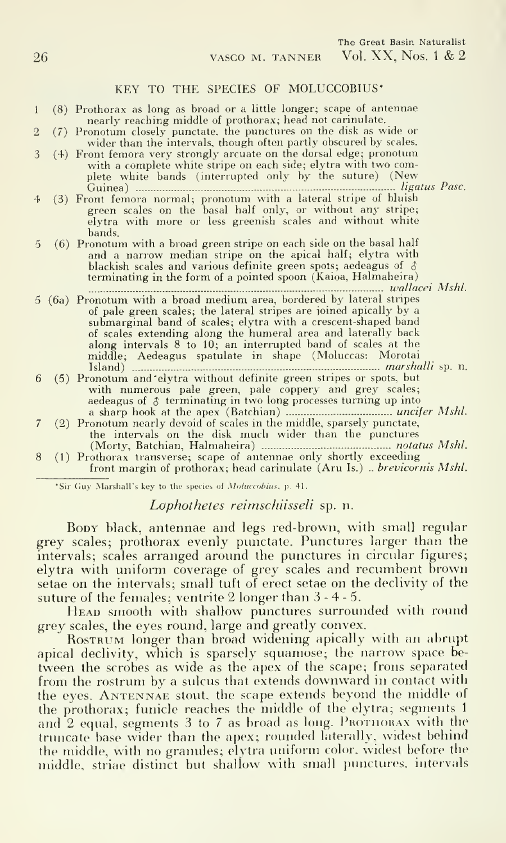#### KEY TO THE SPECIES OF MOLUCCOBIUS\*

- <sup>1</sup> (8) Prothorax as long as broad or <sup>a</sup> little longer; scape of antennae nearly reaching middle of prothorax; head not carinulate.
- 2 (7) Pronotum closely punctate, the punctures on the disk as wide or wider than the intervals, though often partly obscured by scales.
- <sup>3</sup> (4) Front femora very strongly arcuate on the dorsal edge; pronotum with a complete white stripe on each side; elytra with two complete white bands (interrupted only by the suture) (New Guinea) ligatus Pasc.
- 4 (3) Front femora normal; pronotum with <sup>a</sup> lateral stripe of bluish green scales on the basal half only, or without any stripe; elytra with more or less greenish scales and without white bands.
- 5 (6) Pronotum with a broad green stripe on each side on the basal half and a narrow median stripe on the apical half; elytra with blackish scales and various definite green spots; aedeagus of  $\delta$ terminating in the form of a pointed spoon (Kaioa, Halmaheira)

wallacei Mshl.

- <sup>5</sup> (6a) Pronotum with <sup>a</sup> broad medium area, bordered by lateral stripes of pale green scales; the lateral stripes are joined apically by a submarginal band of scales; elytra with <sup>a</sup> crescent-shaped band of scales extending along the humeral area and laterally back along intervals 8 to 10; an interrupted band of scales at the middle; Aedeagus spatulate in shape (Moluccas: Morotai Island) marshalli sp. n.
- 6 (5) Pronotum and'elytra without definite green stripes or spots, but with numerous pale green, pale coppery and grey scales;<br>aedeagus of  $\upbeta$  terminating in two long processes turning up into a sharp hook at the apex (Batchian) uncifer Mshl.
- <sup>7</sup> (2) Pronotum nearly devoid of scales in the middle, sparsely punctate, the intervals on the disk much wider than the punctures (Morty, Batchian, Halmaheira) notatus Mshl.
- 8 (1) Prothorax transverse; scape of antennae only shortly exceeding front margin of prothorax; head carinulate (Aru Is.) .. brevicornis Mshl.

\*Sir Guy Marshall's key to the species of Moluccobius, p. 41.

Lophothetes reimschiisseli sp. n.

Boby black, antennae and legs red-brown, with small regular grey scales; prothorax evenly punctate. Punctures larger than the intervals; scales arranged around the punctures in circular figures; elytra with uniform coverage of grey scales and recumbent brown setae on the intervals; small tuft of erect setae on the declivity of the suture of the females; ventrite 2 longer than 3-4-5.

HEAD smooth with shallow punctures surrounded with round grey scales, the eyes round, large and greatly convex.

ROSTRUM longer than broad widening apically with an abrupt apical declivity, which is sparsely squamose; the narrow space be tween the scrobes as wide as the apex of the scape; frons separated from the rostrum by <sup>a</sup> sulcus that extends downward in contact with the eyes. Antennae stout, the scape extends beyond the middle of the prothorax; funicle reaches the middle of the elytra; segments <sup>1</sup> and  $2$  equal, segments  $3$  to  $7$  as broad as long. PROTHORAX with the truncate base wider than the apex; rounded laterally, widest behind the middle, with no granules; elvtra uniform color, widest before the middle, striae distinct but shallow with small punctures, intervals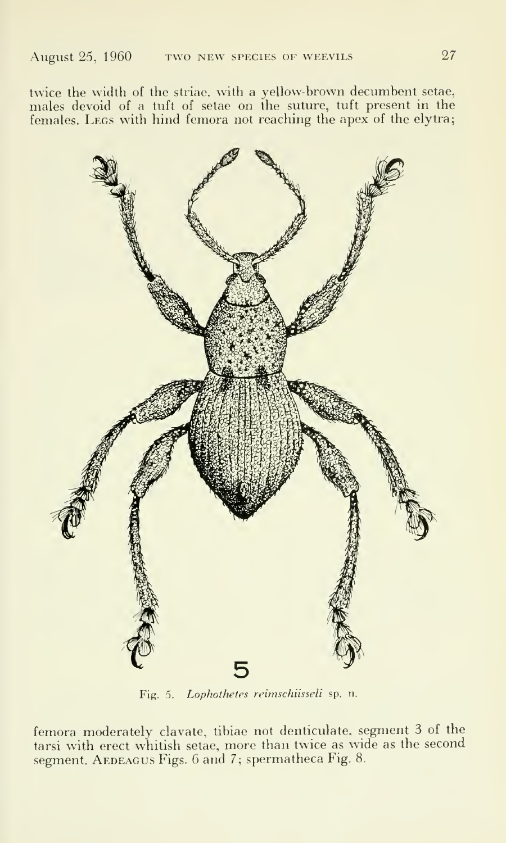twice the width of the striae, with <sup>a</sup> yellow-brown decumbent setae, males devoid of a tuft of setae on the suture, tuft present in the females. Legs with hind femora not reaching the apex of the elytra;



Fig. 5. Lophotheles reirnschiisseli sp. n.

femora moderately clavate. tibiae not denticulate, segment 3 of the tarsi with erect whitish setae, more than twice as wide as the second segment. AEDEAGUS Figs. 6 and 7; spermatheca Fig. 8.